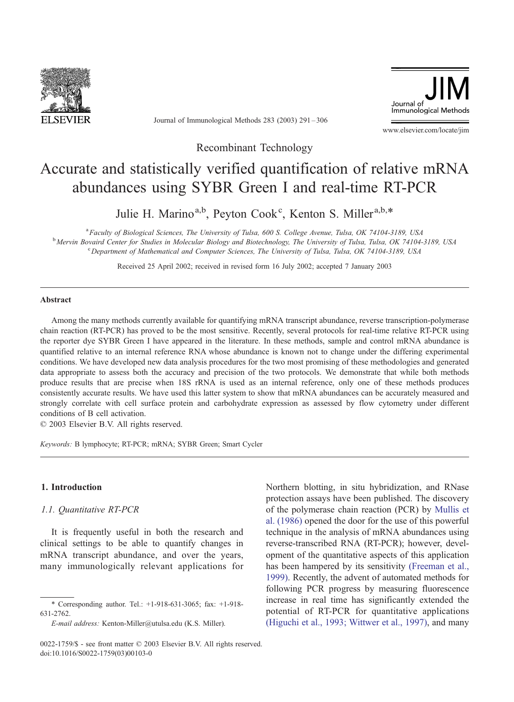

Journal of Immunological Methods 283 (2003) 291 – 306



www.elsevier.com/locate/jim

Recombinant Technology

# Accurate and statistically verified quantification of relative mRNA abundances using SYBR Green I and real-time RT-PCR

Julie H. Marino<sup>a,b</sup>, Peyton Cook<sup>c</sup>, Kenton S. Miller<sup>a,b,\*</sup>

<sup>a</sup> Faculty of Biological Sciences, The University of Tulsa, 600 S. College Avenue, Tulsa, OK 74104-3189, USA <sup>b</sup> Mervin Bovaird Center for Studies in Molecular Biology and Biotechnology, The University of Tulsa, Tulsa, OK 74104-3189, USA <sup>c</sup> Department of Mathematical and Computer Sciences, The University of Tulsa, Tulsa, OK 74104-3189, USA

Received 25 April 2002; received in revised form 16 July 2002; accepted 7 January 2003

#### Abstract

Among the many methods currently available for quantifying mRNA transcript abundance, reverse transcription-polymerase chain reaction (RT-PCR) has proved to be the most sensitive. Recently, several protocols for real-time relative RT-PCR using the reporter dye SYBR Green I have appeared in the literature. In these methods, sample and control mRNA abundance is quantified relative to an internal reference RNA whose abundance is known not to change under the differing experimental conditions. We have developed new data analysis procedures for the two most promising of these methodologies and generated data appropriate to assess both the accuracy and precision of the two protocols. We demonstrate that while both methods produce results that are precise when 18S rRNA is used as an internal reference, only one of these methods produces consistently accurate results. We have used this latter system to show that mRNA abundances can be accurately measured and strongly correlate with cell surface protein and carbohydrate expression as assessed by flow cytometry under different conditions of B cell activation.

 $© 2003 Elsevier B.V. All rights reserved.$ 

Keywords: B lymphocyte; RT-PCR; mRNA; SYBR Green; Smart Cycler

## 1. Introduction

#### 1.1. Quantitative RT-PCR

It is frequently useful in both the research and clinical settings to be able to quantify changes in mRNA transcript abundance, and over the years, many immunologically relevant applications for Northern blotting, in situ hybridization, and RNase protection assays have been published. The discovery of the polymerase chain reaction (PCR) by [Mullis et](#page-14-0) al. (1986) opened the door for the use of this powerful technique in the analysis of mRNA abundances using reverse-transcribed RNA (RT-PCR); however, development of the quantitative aspects of this application has been hampered by its sensitivity [\(Freeman et al.,](#page-14-0) 1999). Recently, the advent of automated methods for following PCR progress by measuring fluorescence increase in real time has significantly extended the potential of RT-PCR for quantitative applications [\(Higuchi et al., 1993; Wittwer et al., 1997\),](#page-14-0) and many

<sup>\*</sup> Corresponding author. Tel.: +1-918-631-3065; fax: +1-918- 631-2762.

E-mail address: Kenton-Miller@utulsa.edu (K.S. Miller).

<sup>0022-1759/\$ -</sup> see front matter © 2003 Elsevier B.V. All rights reserved. doi:10.1016/S0022-1759(03)00103-0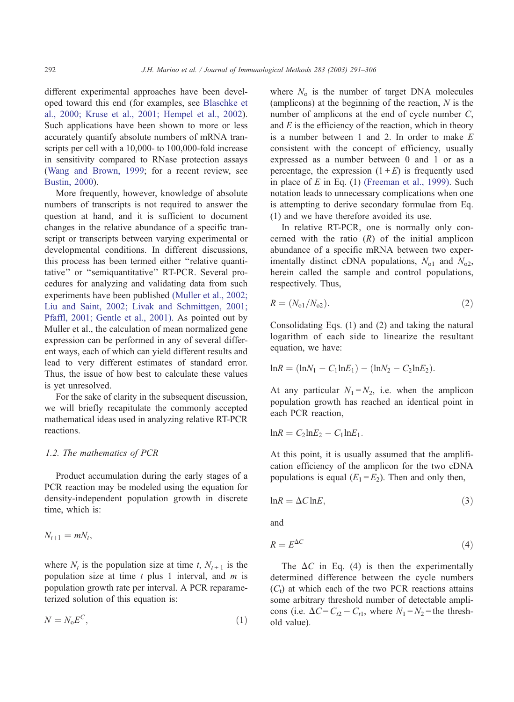different experimental approaches have been developed toward this end (for examples, see [Blaschke et](#page-14-0) al., 2000; Kruse et al., 2001; Hempel et al., 2002). Such applications have been shown to more or less accurately quantify absolute numbers of mRNA transcripts per cell with a 10,000- to 100,000-fold increase in sensitivity compared to RNase protection assays ([Wang and Brown, 1999;](#page-15-0) for a recent review, see [Bustin, 2000\)](#page-14-0).

More frequently, however, knowledge of absolute numbers of transcripts is not required to answer the question at hand, and it is sufficient to document changes in the relative abundance of a specific transcript or transcripts between varying experimental or developmental conditions. In different discussions, this process has been termed either ''relative quantitative'' or ''semiquantitative'' RT-PCR. Several procedures for analyzing and validating data from such experiments have been published [\(Muller et al., 2002;](#page-14-0) Liu and Saint, 2002; Livak and Schmittgen, 2001; Pfaffl, 2001; Gentle et al., 2001). As pointed out by Muller et al., the calculation of mean normalized gene expression can be performed in any of several different ways, each of which can yield different results and lead to very different estimates of standard error. Thus, the issue of how best to calculate these values is yet unresolved.

For the sake of clarity in the subsequent discussion, we will briefly recapitulate the commonly accepted mathematical ideas used in analyzing relative RT-PCR reactions.

#### 1.2. The mathematics of PCR

Product accumulation during the early stages of a PCR reaction may be modeled using the equation for density-independent population growth in discrete time, which is:

$$
N_{t+1}=mN_t,
$$

where  $N_t$  is the population size at time t,  $N_{t+1}$  is the population size at time  $t$  plus 1 interval, and  $m$  is population growth rate per interval. A PCR reparameterized solution of this equation is:

$$
N = N_0 E^C,\tag{1}
$$

where  $N_0$  is the number of target DNA molecules (amplicons) at the beginning of the reaction,  $N$  is the number of amplicons at the end of cycle number C, and  $E$  is the efficiency of the reaction, which in theory is a number between 1 and 2. In order to make  $E$ consistent with the concept of efficiency, usually expressed as a number between 0 and 1 or as a percentage, the expression  $(1 + E)$  is frequently used in place of  $E$  in Eq. (1) [\(Freeman et al., 1999\).](#page-14-0) Such notation leads to unnecessary complications when one is attempting to derive secondary formulae from Eq. (1) and we have therefore avoided its use.

In relative RT-PCR, one is normally only concerned with the ratio  $(R)$  of the initial amplicon abundance of a specific mRNA between two experimentally distinct cDNA populations,  $N_{01}$  and  $N_{02}$ , herein called the sample and control populations, respectively. Thus,

$$
R = (N_{o1}/N_{o2}).
$$
 (2)

Consolidating Eqs. (1) and (2) and taking the natural logarithm of each side to linearize the resultant equation, we have:

$$
ln R = (ln N_1 - C_1 ln E_1) - (ln N_2 - C_2 ln E_2).
$$

At any particular  $N_1 = N_2$ , i.e. when the amplicon population growth has reached an identical point in each PCR reaction,

$$
\ln R = C_2 \ln E_2 - C_1 \ln E_1.
$$

At this point, it is usually assumed that the amplification efficiency of the amplicon for the two cDNA populations is equal  $(E_1 = E_2)$ . Then and only then,

$$
\ln R = \Delta C \ln E,\tag{3}
$$

and

$$
R = E^{\Delta C} \tag{4}
$$

The  $\Delta C$  in Eq. (4) is then the experimentally determined difference between the cycle numbers  $(C<sub>t</sub>)$  at which each of the two PCR reactions attains some arbitrary threshold number of detectable amplicons (i.e.  $\Delta C = C_{t2} - C_{t1}$ , where  $N_1 = N_2$  = the threshold value).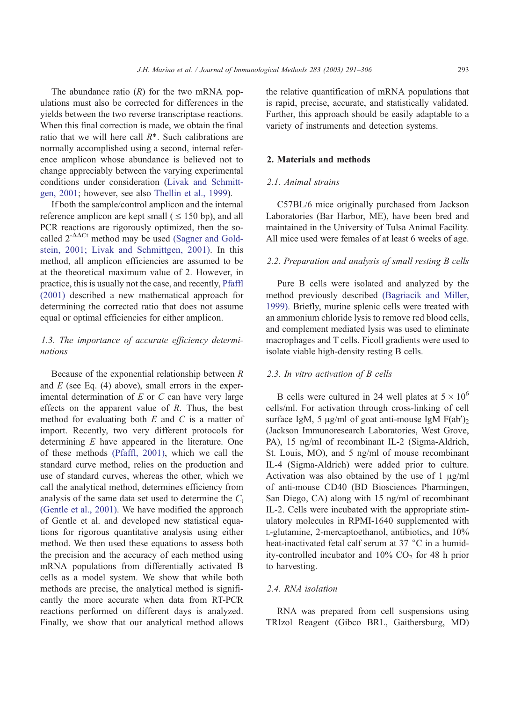The abundance ratio  $(R)$  for the two mRNA populations must also be corrected for differences in the yields between the two reverse transcriptase reactions. When this final correction is made, we obtain the final ratio that we will here call  $R^*$ . Such calibrations are normally accomplished using a second, internal reference amplicon whose abundance is believed not to change appreciably between the varying experimental conditions under consideration ([Livak and Schmitt](#page-14-0)gen, 2001; however, see also [Thellin et al., 1999\)](#page-15-0).

If both the sample/control amplicon and the internal reference amplicon are kept small ( $\leq 150$  bp), and all PCR reactions are rigorously optimized, then the socalled  $2^{-\Delta\Delta Ct}$  method may be used [\(Sagner and Gold](#page-14-0)stein, 2001; Livak and Schmittgen, 2001). In this method, all amplicon efficiencies are assumed to be at the theoretical maximum value of 2. However, in practice, this is usually not the case, and recently, [Pfaffl](#page-14-0) (2001) described a new mathematical approach for determining the corrected ratio that does not assume equal or optimal efficiencies for either amplicon.

# 1.3. The importance of accurate efficiency determinations

Because of the exponential relationship between R and  $E$  (see Eq. (4) above), small errors in the experimental determination of  $E$  or  $C$  can have very large effects on the apparent value of  $R$ . Thus, the best method for evaluating both  $E$  and  $C$  is a matter of import. Recently, two very different protocols for determining  $E$  have appeared in the literature. One of these methods [\(Pfaffl, 2001\),](#page-14-0) which we call the standard curve method, relies on the production and use of standard curves, whereas the other, which we call the analytical method, determines efficiency from analysis of the same data set used to determine the  $C_t$ [\(Gentle et al., 2001\).](#page-14-0) We have modified the approach of Gentle et al. and developed new statistical equations for rigorous quantitative analysis using either method. We then used these equations to assess both the precision and the accuracy of each method using mRNA populations from differentially activated B cells as a model system. We show that while both methods are precise, the analytical method is significantly the more accurate when data from RT-PCR reactions performed on different days is analyzed. Finally, we show that our analytical method allows

the relative quantification of mRNA populations that is rapid, precise, accurate, and statistically validated. Further, this approach should be easily adaptable to a variety of instruments and detection systems.

### 2. Materials and methods

#### 2.1. Animal strains

C57BL/6 mice originally purchased from Jackson Laboratories (Bar Harbor, ME), have been bred and maintained in the University of Tulsa Animal Facility. All mice used were females of at least 6 weeks of age.

#### 2.2. Preparation and analysis of small resting B cells

Pure B cells were isolated and analyzed by the method previously described [\(Bagriacik and Miller,](#page-13-0) 1999). Briefly, murine splenic cells were treated with an ammonium chloride lysis to remove red blood cells, and complement mediated lysis was used to eliminate macrophages and T cells. Ficoll gradients were used to isolate viable high-density resting B cells.

#### 2.3. In vitro activation of B cells

B cells were cultured in 24 well plates at  $5 \times 10^6$ cells/ml. For activation through cross-linking of cell surface IgM, 5  $\mu$ g/ml of goat anti-mouse IgM F(ab')<sub>2</sub> (Jackson Immunoresearch Laboratories, West Grove, PA), 15 ng/ml of recombinant IL-2 (Sigma-Aldrich, St. Louis, MO), and 5 ng/ml of mouse recombinant IL-4 (Sigma-Aldrich) were added prior to culture. Activation was also obtained by the use of  $1 \mu g/ml$ of anti-mouse CD40 (BD Biosciences Pharmingen, San Diego, CA) along with 15 ng/ml of recombinant IL-2. Cells were incubated with the appropriate stimulatory molecules in RPMI-1640 supplemented with L-glutamine, 2-mercaptoethanol, antibiotics, and 10% heat-inactivated fetal calf serum at 37 °C in a humidity-controlled incubator and  $10\%$  CO<sub>2</sub> for 48 h prior to harvesting.

# 2.4. RNA isolation

RNA was prepared from cell suspensions using TRIzol Reagent (Gibco BRL, Gaithersburg, MD)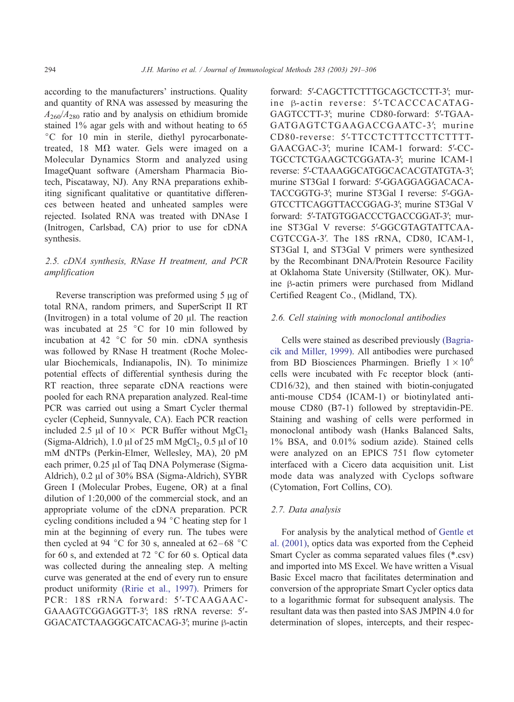according to the manufacturers' instructions. Quality and quantity of RNA was assessed by measuring the  $A_{260}/A_{280}$  ratio and by analysis on ethidium bromide stained 1% agar gels with and without heating to 65 <sup>o</sup>C for 10 min in sterile, diethyl pyrocarbonatetreated, 18  $M\Omega$  water. Gels were imaged on a Molecular Dynamics Storm and analyzed using ImageQuant software (Amersham Pharmacia Biotech, Piscataway, NJ). Any RNA preparations exhibiting significant qualitative or quantitative differences between heated and unheated samples were rejected. Isolated RNA was treated with DNAse I (Initrogen, Carlsbad, CA) prior to use for cDNA synthesis.

# 2.5. cDNA synthesis, RNase H treatment, and PCR amplification

Reverse transcription was preformed using  $5 \mu$ g of total RNA, random primers, and SuperScript II RT (Invitrogen) in a total volume of  $20 \mu l$ . The reaction was incubated at  $25 \degree C$  for 10 min followed by incubation at 42  $\degree$ C for 50 min. cDNA synthesis was followed by RNase H treatment (Roche Molecular Biochemicals, Indianapolis, IN). To minimize potential effects of differential synthesis during the RT reaction, three separate cDNA reactions were pooled for each RNA preparation analyzed. Real-time PCR was carried out using a Smart Cycler thermal cycler (Cepheid, Sunnyvale, CA). Each PCR reaction included 2.5  $\mu$ l of 10  $\times$  PCR Buffer without MgCl<sub>2</sub> (Sigma-Aldrich),  $1.0 \mu l$  of 25 mM MgCl<sub>2</sub>,  $0.5 \mu l$  of 10 mM dNTPs (Perkin-Elmer, Wellesley, MA), 20 pM each primer, 0.25 µl of Taq DNA Polymerase (Sigma-Aldrich), 0.2 µl of 30% BSA (Sigma-Aldrich), SYBR Green I (Molecular Probes, Eugene, OR) at a final dilution of 1:20,000 of the commercial stock, and an appropriate volume of the cDNA preparation. PCR cycling conditions included a 94  $\degree$ C heating step for 1 min at the beginning of every run. The tubes were then cycled at 94  $\degree$ C for 30 s, annealed at 62–68  $\degree$ C for 60 s, and extended at 72  $\degree$ C for 60 s. Optical data was collected during the annealing step. A melting curve was generated at the end of every run to ensure product uniformity [\(Ririe et al., 1997\).](#page-14-0) Primers for PCR: 18S rRNA forward: 5'-TCAAGAAC-GAAAGTCGGAGGTT-3'; 18S rRNA reverse: 5'-GGACATCTAAGGGCATCACAG-3'; murine  $\beta$ -actin

forward: 5'-CAGCTTCTTTGCAGCTCCTT-3'; murine B-actin reverse: 5'-TCACCCACATAG-GAGTCCTT-3'; murine CD80-forward: 5'-TGAA-GATGAGTCTGAAGACCGAATC-3'; murine CD80-reverse: 5'-TTCCTCTTTCCTTCTTTT-GAACGAC-3'; murine ICAM-1 forward: 5'-CC-TGCCTCTGAAGCTCGGATA-3'; murine ICAM-1 reverse: 5'-CTAAAGGCATGGCACACGTATGTA-3': murine ST3Gal I forward: 5'-GGAGGAGGACACA-TACCGGTG-3'; murine ST3Gal I reverse: 5'-GGA-GTCCTTCAGGTTACCGGAG-3'; murine ST3Gal V forward: 5'-TATGTGGACCCTGACCGGAT-3'; murine ST3Gal V reverse: 5'-GGCGTAGTATTCAA-CGTCCGA-3'. The 18S rRNA, CD80, ICAM-1, ST3Gal I, and ST3Gal V primers were synthesized by the Recombinant DNA/Protein Resource Facility at Oklahoma State University (Stillwater, OK). Murine  $\beta$ -actin primers were purchased from Midland Certified Reagent Co., (Midland, TX).

# 2.6. Cell staining with monoclonal antibodies

Cells were stained as described previously [\(Bagria](#page-13-0)cik and Miller, 1999). All antibodies were purchased from BD Biosciences Pharmingen. Briefly  $1 \times 10^6$ cells were incubated with Fc receptor block (anti-CD16/32), and then stained with biotin-conjugated anti-mouse CD54 (ICAM-1) or biotinylated antimouse CD80 (B7-1) followed by streptavidin-PE. Staining and washing of cells were performed in monoclonal antibody wash (Hanks Balanced Salts, 1% BSA, and 0.01% sodium azide). Stained cells were analyzed on an EPICS 751 flow cytometer interfaced with a Cicero data acquisition unit. List mode data was analyzed with Cyclops software (Cytomation, Fort Collins, CO).

#### 2.7. Data analysis

For analysis by the analytical method of [Gentle et](#page-14-0) al. (2001), optics data was exported from the Cepheid Smart Cycler as comma separated values files (\*.csv) and imported into MS Excel. We have written a Visual Basic Excel macro that facilitates determination and conversion of the appropriate Smart Cycler optics data to a logarithmic format for subsequent analysis. The resultant data was then pasted into SAS JMPIN 4.0 for determination of slopes, intercepts, and their respec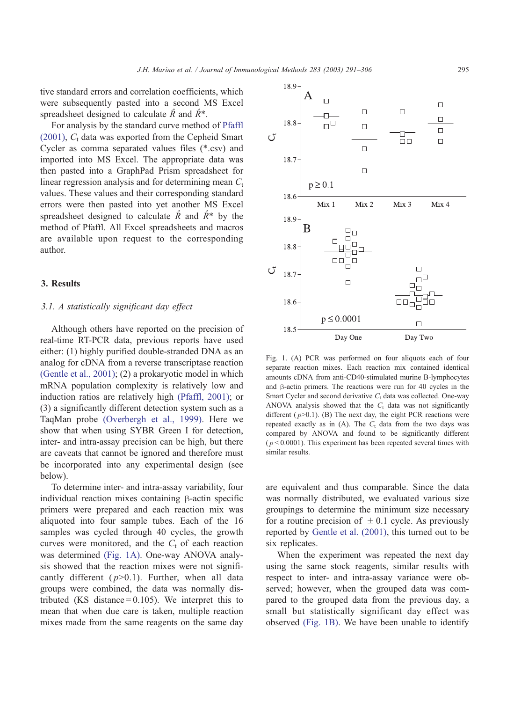<span id="page-4-0"></span>tive standard errors and correlation coefficients, which were subsequently pasted into a second MS Excel spreadsheet designed to calculate  $\hat{R}$  and  $\hat{R}^*$ .

For analysis by the standard curve method of [Pfaffl](#page-14-0)  $(2001)$ ,  $C_t$  data was exported from the Cepheid Smart Cycler as comma separated values files (\*.csv) and imported into MS Excel. The appropriate data was then pasted into a GraphPad Prism spreadsheet for linear regression analysis and for determining mean  $C_t$ values. These values and their corresponding standard errors were then pasted into yet another MS Excel spreadsheet designed to calculate  $\hat{R}$  and  $\hat{R}^*$  by the method of Pfaffl. All Excel spreadsheets and macros are available upon request to the corresponding author.

## 3. Results

#### 3.1. A statistically significant day effect

Although others have reported on the precision of real-time RT-PCR data, previous reports have used either: (1) highly purified double-stranded DNA as an analog for cDNA from a reverse transcriptase reaction [\(Gentle et al., 2001\);](#page-14-0) (2) a prokaryotic model in which mRNA population complexity is relatively low and induction ratios are relatively high [\(Pfaffl, 2001\);](#page-14-0) or (3) a significantly different detection system such as a TaqMan probe [\(Overbergh et al., 1999\).](#page-14-0) Here we show that when using SYBR Green I for detection, inter- and intra-assay precision can be high, but there are caveats that cannot be ignored and therefore must be incorporated into any experimental design (see below).

To determine inter- and intra-assay variability, four individual reaction mixes containing  $\beta$ -actin specific primers were prepared and each reaction mix was aliquoted into four sample tubes. Each of the 16 samples was cycled through 40 cycles, the growth curves were monitored, and the  $C_t$  of each reaction was determined (Fig. 1A). One-way ANOVA analysis showed that the reaction mixes were not significantly different  $(p>0.1)$ . Further, when all data groups were combined, the data was normally distributed (KS distance  $= 0.105$ ). We interpret this to mean that when due care is taken, multiple reaction mixes made from the same reagents on the same day



Fig. 1. (A) PCR was performed on four aliquots each of four separate reaction mixes. Each reaction mix contained identical amounts cDNA from anti-CD40-stimulated murine B-lymphocytes and  $\beta$ -actin primers. The reactions were run for 40 cycles in the Smart Cycler and second derivative  $C_t$  data was collected. One-way ANOVA analysis showed that the  $C_t$  data was not significantly different  $(p>0.1)$ . (B) The next day, the eight PCR reactions were repeated exactly as in  $(A)$ . The  $C_t$  data from the two days was compared by ANOVA and found to be significantly different  $(p<0.0001)$ . This experiment has been repeated several times with similar results.

are equivalent and thus comparable. Since the data was normally distributed, we evaluated various size groupings to determine the minimum size necessary for a routine precision of  $\pm$  0.1 cycle. As previously reported by [Gentle et al. \(2001\),](#page-14-0) this turned out to be six replicates.

When the experiment was repeated the next day using the same stock reagents, similar results with respect to inter- and intra-assay variance were observed; however, when the grouped data was compared to the grouped data from the previous day, a small but statistically significant day effect was observed (Fig. 1B). We have been unable to identify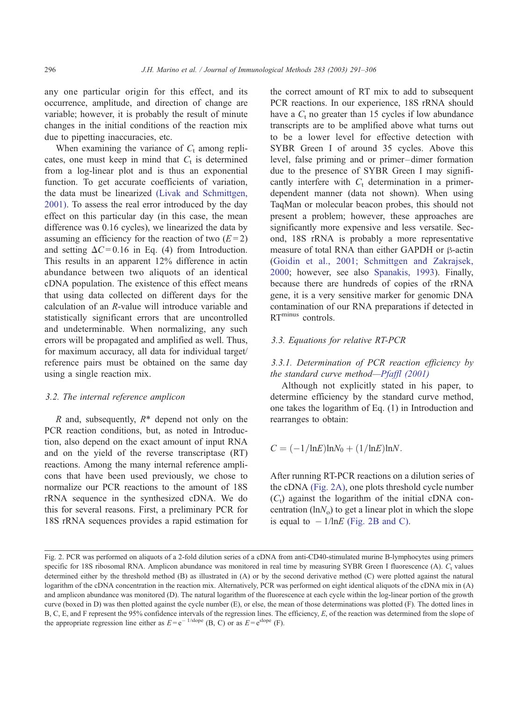any one particular origin for this effect, and its occurrence, amplitude, and direction of change are variable; however, it is probably the result of minute changes in the initial conditions of the reaction mix due to pipetting inaccuracies, etc.

When examining the variance of  $C_t$  among replicates, one must keep in mind that  $C_t$  is determined from a log-linear plot and is thus an exponential function. To get accurate coefficients of variation, the data must be linearized [\(Livak and Schmittgen,](#page-14-0) 2001). To assess the real error introduced by the day effect on this particular day (in this case, the mean difference was 0.16 cycles), we linearized the data by assuming an efficiency for the reaction of two  $(E = 2)$ and setting  $\Delta C = 0.16$  in Eq. (4) from Introduction. This results in an apparent 12% difference in actin abundance between two aliquots of an identical cDNA population. The existence of this effect means that using data collected on different days for the calculation of an R-value will introduce variable and statistically significant errors that are uncontrolled and undeterminable. When normalizing, any such errors will be propagated and amplified as well. Thus, for maximum accuracy, all data for individual target/ reference pairs must be obtained on the same day using a single reaction mix.

# 3.2. The internal reference amplicon

R and, subsequently,  $R^*$  depend not only on the PCR reaction conditions, but, as noted in Introduction, also depend on the exact amount of input RNA and on the yield of the reverse transcriptase (RT) reactions. Among the many internal reference amplicons that have been used previously, we chose to normalize our PCR reactions to the amount of 18S rRNA sequence in the synthesized cDNA. We do this for several reasons. First, a preliminary PCR for 18S rRNA sequences provides a rapid estimation for the correct amount of RT mix to add to subsequent PCR reactions. In our experience, 18S rRNA should have a  $C_t$  no greater than 15 cycles if low abundance transcripts are to be amplified above what turns out to be a lower level for effective detection with SYBR Green I of around 35 cycles. Above this level, false priming and or primer – dimer formation due to the presence of SYBR Green I may significantly interfere with  $C_t$  determination in a primerdependent manner (data not shown). When using TaqMan or molecular beacon probes, this should not present a problem; however, these approaches are significantly more expensive and less versatile. Second, 18S rRNA is probably a more representative measure of total RNA than either GAPDH or  $\beta$ -actin ([Goidin et al., 2001; Schmittgen and Zakrajsek,](#page-14-0) 2000; however, see also [Spanakis, 1993\)](#page-15-0). Finally, because there are hundreds of copies of the rRNA gene, it is a very sensitive marker for genomic DNA contamination of our RNA preparations if detected in RT<sup>minus</sup> controls.

# 3.3. Equations for relative RT-PCR

# 3.3.1. Determination of PCR reaction efficiency by the standard curve method—[Pfaffl \(2001\)](#page-14-0)

Although not explicitly stated in his paper, to determine efficiency by the standard curve method, one takes the logarithm of Eq. (1) in Introduction and rearranges to obtain:

$$
C = (-1/\ln E)\ln N_0 + (1/\ln E)\ln N.
$$

After running RT-PCR reactions on a dilution series of the cDNA [\(Fig. 2A\),](#page-6-0) one plots threshold cycle number  $(C_t)$  against the logarithm of the initial cDNA concentration (ln $N<sub>o</sub>$ ) to get a linear plot in which the slope is equal to  $-1/\ln E$  [\(Fig. 2B and C\).](#page-6-0)

Fig. 2. PCR was performed on aliquots of a 2-fold dilution series of a cDNA from anti-CD40-stimulated murine B-lymphocytes using primers specific for 18S ribosomal RNA. Amplicon abundance was monitored in real time by measuring SYBR Green I fluorescence (A).  $C_t$  values determined either by the threshold method (B) as illustrated in (A) or by the second derivative method (C) were plotted against the natural logarithm of the cDNA concentration in the reaction mix. Alternatively, PCR was performed on eight identical aliquots of the cDNA mix in (A) and amplicon abundance was monitored (D). The natural logarithm of the fluorescence at each cycle within the log-linear portion of the growth curve (boxed in D) was then plotted against the cycle number (E), or else, the mean of those determinations was plotted (F). The dotted lines in B, C, E, and F represent the 95% confidence intervals of the regression lines. The efficiency, E, of the reaction was determined from the slope of the appropriate regression line either as  $E = e^{-1/\text{slope}}$  (B, C) or as  $E = e^{\$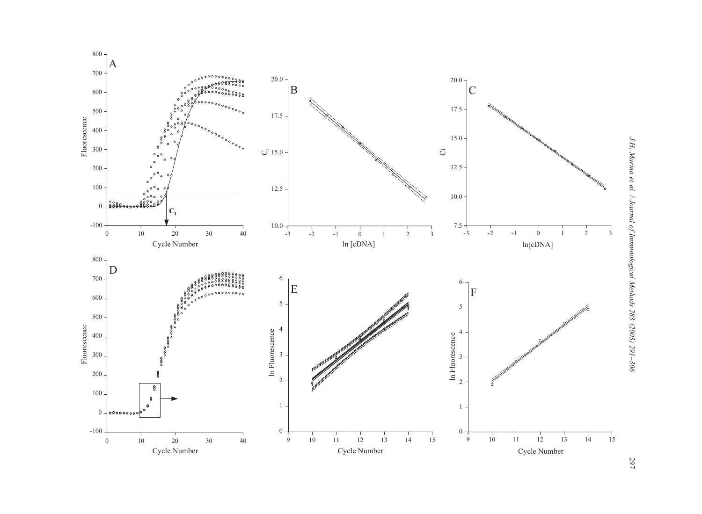<span id="page-6-0"></span>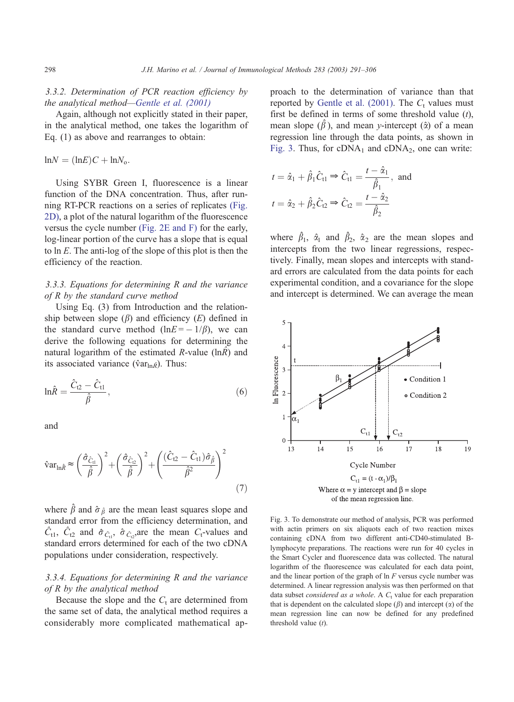<span id="page-7-0"></span>3.3.2. Determination of PCR reaction efficiency by the analytical method—[Gentle et al. \(2001\)](#page-14-0)

Again, although not explicitly stated in their paper, in the analytical method, one takes the logarithm of Eq. (1) as above and rearranges to obtain:

 $lnN = (lnE)C + lnN_0$ .

Using SYBR Green I, fluorescence is a linear function of the DNA concentration. Thus, after running RT-PCR reactions on a series of replicates [\(Fig.](#page-6-0) 2D), a plot of the natural logarithm of the fluorescence versus the cycle number [\(Fig. 2E and F\)](#page-6-0) for the early, log-linear portion of the curve has a slope that is equal to ln E. The anti-log of the slope of this plot is then the efficiency of the reaction.

## 3.3.3. Equations for determining R and the variance of R by the standard curve method

Using Eq. (3) from Introduction and the relationship between slope  $(\beta)$  and efficiency  $(E)$  defined in the standard curve method  $(lnE = -1/\beta)$ , we can derive the following equations for determining the natural logarithm of the estimated  $R$ -value (ln $R$ ) and its associated variance ( $\hat{v}$ ar<sub>ln $\hat{R}$ </sub>). Thus:

$$
\ln \hat{R} = \frac{\hat{C}_{t2} - \hat{C}_{t1}}{\hat{\beta}},\tag{6}
$$

and

$$
\hat{\mathbf{v}}\mathbf{ar}_{\ln\hat{\mathcal{R}}} \approx \left(\frac{\hat{\sigma}_{\hat{C}_{t1}}}{\hat{\beta}}\right)^2 + \left(\frac{\hat{\sigma}_{\hat{C}_{t2}}}{\hat{\beta}}\right)^2 + \left(\frac{(\hat{C}_{t2} - \hat{C}_{t1})\hat{\sigma}_{\hat{\beta}}}{\hat{\beta}^2}\right)^2 \tag{7}
$$

where  $\hat{\beta}$  and  $\hat{\sigma}_{\hat{\beta}}$  are the mean least squares slope and standard error from the efficiency determination, and  $\hat{C}_{t1}$ ,  $\hat{C}_{t2}$  and  $\hat{\sigma}_{\hat{C}_{t1}}$ ,  $\hat{\sigma}_{\hat{C}_{t2}}$ , are the mean  $C_t$ -values and standard errors determined for each of the two cDNA populations under consideration, respectively.

# 3.3.4. Equations for determining R and the variance of R by the analytical method

Because the slope and the  $C_t$  are determined from the same set of data, the analytical method requires a considerably more complicated mathematical approach to the determination of variance than that reported by Gentle et al.  $(2001)$ . The  $C<sub>t</sub>$  values must first be defined in terms of some threshold value  $(t)$ , mean slope  $(\hat{\beta})$ , and mean y-intercept  $(\hat{\alpha})$  of a mean regression line through the data points, as shown in Fig. 3. Thus, for  $cDNA<sub>1</sub>$  and  $cDNA<sub>2</sub>$ , one can write:

$$
t = \hat{\alpha}_1 + \hat{\beta}_1 \hat{C}_{t1} \Rightarrow \hat{C}_{t1} = \frac{t - \hat{\alpha}_1}{\hat{\beta}_1}, \text{ and}
$$

$$
t = \hat{\alpha}_2 + \hat{\beta}_2 \hat{C}_{t2} \Rightarrow \hat{C}_{t2} = \frac{t - \hat{\alpha}_2}{\hat{\beta}_2}
$$

where  $\hat{\beta}_1$ ,  $\hat{\alpha}_1$  and  $\hat{\beta}_2$ ,  $\hat{\alpha}_2$  are the mean slopes and intercepts from the two linear regressions, respectively. Finally, mean slopes and intercepts with standard errors are calculated from the data points for each experimental condition, and a covariance for the slope and intercept is determined. We can average the mean



Fig. 3. To demonstrate our method of analysis, PCR was performed with actin primers on six aliquots each of two reaction mixes containing cDNA from two different anti-CD40-stimulated Blymphocyte preparations. The reactions were run for 40 cycles in the Smart Cycler and fluorescence data was collected. The natural logarithm of the fluorescence was calculated for each data point, and the linear portion of the graph of  $\ln F$  versus cycle number was determined. A linear regression analysis was then performed on that data subset *considered as a whole*. A  $C_t$  value for each preparation that is dependent on the calculated slope  $(\beta)$  and intercept  $(\alpha)$  of the mean regression line can now be defined for any predefined threshold value  $(t)$ .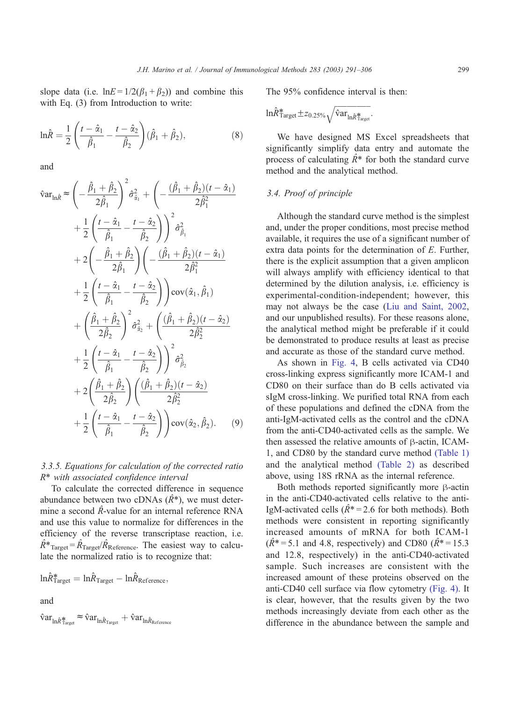slope data (i.e.  $\ln E = 1/2(\beta_1 + \beta_2)$ ) and combine this with Eq.  $(3)$  from Introduction to write:

$$
\ln \hat{R} = \frac{1}{2} \left( \frac{t - \hat{\alpha}_1}{\hat{\beta}_1} - \frac{t - \hat{\alpha}_2}{\hat{\beta}_2} \right) (\hat{\beta}_1 + \hat{\beta}_2),
$$
 (8)

and

$$
\hat{v}ar_{\ln\hat{\beta}} \approx \left(-\frac{\hat{\beta}_{1} + \hat{\beta}_{2}}{2\hat{\beta}_{1}}\right)^{2} \hat{\sigma}_{\hat{\alpha}_{1}}^{2} + \left(-\frac{(\hat{\beta}_{1} + \hat{\beta}_{2})(t - \hat{\alpha}_{1})}{2\hat{\beta}_{1}^{2}} + \frac{1}{2}\left(\frac{t - \hat{\alpha}_{1}}{\hat{\beta}_{1}} - \frac{t - \hat{\alpha}_{2}}{\hat{\beta}_{2}}\right)\right)^{2} \hat{\sigma}_{\hat{\beta}_{1}}^{2} + 2\left(-\frac{\hat{\beta}_{1} + \hat{\beta}_{2}}{2\hat{\beta}_{1}}\right)\left(-\frac{(\hat{\beta}_{1} + \hat{\beta}_{2})(t - \hat{\alpha}_{1})}{2\hat{\beta}_{1}^{2}} + \frac{1}{2}\left(\frac{t - \hat{\alpha}_{1}}{\hat{\beta}_{1}} - \frac{t - \hat{\alpha}_{2}}{\hat{\beta}_{2}}\right)\right)\text{cov}(\hat{\alpha}_{1}, \hat{\beta}_{1}) + \left(\frac{\hat{\beta}_{1} + \hat{\beta}_{2}}{2\hat{\beta}_{2}}\right)^{2} \hat{\sigma}_{\hat{\alpha}_{2}}^{2} + \left(\frac{(\hat{\beta}_{1} + \hat{\beta}_{2})(t - \hat{\alpha}_{2})}{2\hat{\beta}_{2}^{2}} + \frac{1}{2}\left(\frac{t - \hat{\alpha}_{1}}{\hat{\beta}_{1}} - \frac{t - \hat{\alpha}_{2}}{\hat{\beta}_{2}}\right)\right)^{2} \hat{\sigma}_{\hat{\beta}_{2}}^{2} + 2\left(\frac{\hat{\beta}_{1} + \hat{\beta}_{2}}{2\hat{\beta}_{2}}\right)\left(\frac{(\hat{\beta}_{1} + \hat{\beta}_{2})(t - \hat{\alpha}_{2})}{2\hat{\beta}_{2}^{2}} + \frac{1}{2}\left(\frac{t - \hat{\alpha}_{1}}{2\hat{\beta}_{2}} - \frac{t - \hat{\alpha}_{2}}{\hat{\beta}_{2}}\right)\right)\text{cov}(\hat{\alpha}_{2}, \hat{\beta}_{2}).
$$
 (9)

# 3.3.5. Equations for calculation of the corrected ratio R\* with associated confidence interval

To calculate the corrected difference in sequence abundance between two cDNAs  $(\hat{R}^*)$ , we must determine a second  $\hat{R}$ -value for an internal reference RNA and use this value to normalize for differences in the efficiency of the reverse transcriptase reaction, i.e.  $\hat{R}^*_{\text{Target}} = \hat{R}_{\text{Target}}/\hat{R}_{\text{Reference}}$ . The easiest way to calculate the normalized ratio is to recognize that:

$$
ln \hat{R}_{Target}^* = ln \hat{R}_{Target} - ln \hat{R}_{Reference},
$$

and

$$
\hat{v}ar_{\ln\hat{R}^*_{\text{Target}}} \approx \hat{v}ar_{\ln\hat{R}_{\text{Target}}} + \hat{v}ar_{\ln\hat{R}_{\text{Reference}}}
$$

The 95% confidence interval is then:

$$
\text{ln}\hat{\text{R}}^{\text{*}}_{\text{Target}}\pm z_{0.25\%}\sqrt{\hat{\text{var}}_{\text{ln}\hat{\text{R}}^{\text{*}}_{\text{Target}}}}.
$$

We have designed MS Excel spreadsheets that significantly simplify data entry and automate the process of calculating  $\hat{R}^*$  for both the standard curve method and the analytical method.

## 3.4. Proof of principle

Although the standard curve method is the simplest and, under the proper conditions, most precise method available, it requires the use of a significant number of extra data points for the determination of E. Further, there is the explicit assumption that a given amplicon will always amplify with efficiency identical to that determined by the dilution analysis, i.e. efficiency is experimental-condition-independent; however, this may not always be the case ([Liu and Saint, 2002,](#page-14-0) and our unpublished results). For these reasons alone, the analytical method might be preferable if it could be demonstrated to produce results at least as precise and accurate as those of the standard curve method.

As shown in [Fig. 4,](#page-9-0) B cells activated via CD40 cross-linking express significantly more ICAM-1 and CD80 on their surface than do B cells activated via sIgM cross-linking. We purified total RNA from each of these populations and defined the cDNA from the anti-IgM-activated cells as the control and the cDNA from the anti-CD40-activated cells as the sample. We then assessed the relative amounts of  $\beta$ -actin, ICAM-1, and CD80 by the standard curve method [\(Table 1\)](#page-9-0) and the analytical method [\(Table 2\)](#page-10-0) as described above, using 18S rRNA as the internal reference.

Both methods reported significantly more  $\beta$ -actin in the anti-CD40-activated cells relative to the anti-IgM-activated cells ( $\hat{R}^*$  = 2.6 for both methods). Both methods were consistent in reporting significantly increased amounts of mRNA for both ICAM-1  $(\hat{R}^* = 5.1 \text{ and } 4.8, \text{ respectively})$  and CD80  $(\hat{R}^* = 15.3 \text{)}$ and 12.8, respectively) in the anti-CD40-activated sample. Such increases are consistent with the increased amount of these proteins observed on the anti-CD40 cell surface via flow cytometry [\(Fig. 4\).](#page-9-0) It is clear, however, that the results given by the two methods increasingly deviate from each other as the difference in the abundance between the sample and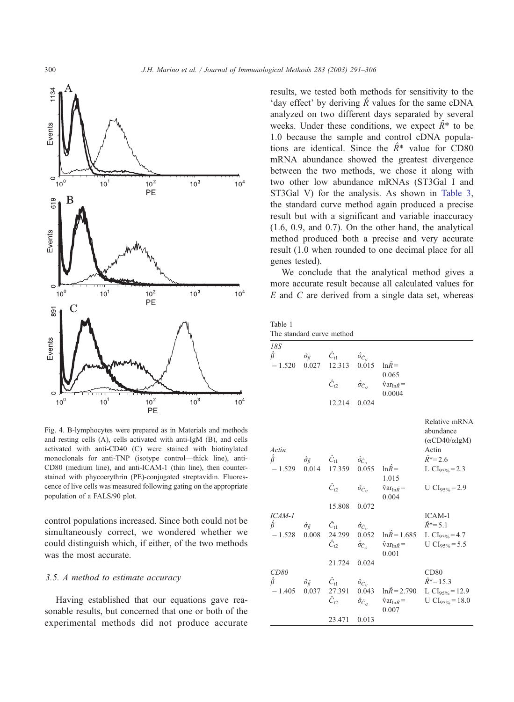<span id="page-9-0"></span>

Fig. 4. B-lymphocytes were prepared as in Materials and methods and resting cells (A), cells activated with anti-IgM (B), and cells activated with anti-CD40 (C) were stained with biotinylated monoclonals for anti-TNP (isotype control—thick line), anti-CD80 (medium line), and anti-ICAM-1 (thin line), then counterstained with phycoerythrin (PE)-conjugated streptavidin. Fluorescence of live cells was measured following gating on the appropriate population of a FALS/90 plot.

control populations increased. Since both could not be simultaneously correct, we wondered whether we could distinguish which, if either, of the two methods was the most accurate.

# 3.5. A method to estimate accuracy

Having established that our equations gave reasonable results, but concerned that one or both of the experimental methods did not produce accurate results, we tested both methods for sensitivity to the 'day effect' by deriving  $\hat{R}$  values for the same cDNA analyzed on two different days separated by several weeks. Under these conditions, we expect  $\hat{R}^*$  to be 1.0 because the sample and control cDNA populations are identical. Since the  $\hat{R}^*$  value for CD80 mRNA abundance showed the greatest divergence between the two methods, we chose it along with two other low abundance mRNAs (ST3Gal I and ST3Gal V) for the analysis. As shown in [Table 3,](#page-10-0) the standard curve method again produced a precise result but with a significant and variable inaccuracy (1.6, 0.9, and 0.7). On the other hand, the analytical method produced both a precise and very accurate result (1.0 when rounded to one decimal place for all genes tested).

We conclude that the analytical method gives a more accurate result because all calculated values for  $E$  and  $C$  are derived from a single data set, whereas

Table 1

The standard curve method

| 18S           |                              |                                        |                                     |                                      |
|---------------|------------------------------|----------------------------------------|-------------------------------------|--------------------------------------|
| $\hat{\beta}$ | $\hat{\sigma}_{\hat{\beta}}$ | $\hat{C}_{t1}$                         | $\hat{\sigma}_{\hat{C}_{ij}}$       |                                      |
| $-1.520$      |                              | $0.027$ 12.313 $0.015$ $\ln \hat{R} =$ |                                     |                                      |
|               |                              |                                        |                                     | 0.065                                |
|               |                              | $\hat{C}_{t2}$                         | $\hat{\sigma}_{\hat{C}_{\prime,2}}$ | $\hat{\mathrm{var}}_{\ln \hat{R}} =$ |
|               |                              |                                        |                                     | 0.0004                               |
|               |                              | 12.214                                 | 0.024                               |                                      |

| Actin<br>$\hat{\beta}$<br>$-1.529$ | $\hat{\sigma}_{\hat{\beta}}$ $\hat{C}_{t1}$ | 0.014 17.359<br>$\hat{C}_{12}$ | $\hat{\sigma}_{\hat{C}_{II}}$<br>$\hat{\sigma}_{\hat{C}_{t2}}$ | $0.055 \text{ ln}\hat{R} =$<br>1.015<br>$\hat{\mathrm{var}}_{\ln \hat{R}} =$ | abundance<br>$(\alpha CD40/\alpha IgM)$<br>Actin<br>$\hat{R}^* = 2.6$<br>L $CI_{95\%} = 2.3$<br>U $CI_{95\%} = 2.9$ |
|------------------------------------|---------------------------------------------|--------------------------------|----------------------------------------------------------------|------------------------------------------------------------------------------|---------------------------------------------------------------------------------------------------------------------|
|                                    |                                             |                                |                                                                | 0.004                                                                        |                                                                                                                     |
|                                    |                                             | 15.808                         | 0.072                                                          |                                                                              |                                                                                                                     |
| ICAM-1                             |                                             |                                |                                                                |                                                                              | ICAM-1                                                                                                              |
| $\hat{\beta}$                      | $\hat{\sigma}_{\hat{\beta}}$                | $\hat{C}_{\rm t1}$             | $\hat{\sigma}_{\hat{C}_{tI}}$                                  |                                                                              | $\hat{R}^* = 5.1$                                                                                                   |
| $-1.528$                           |                                             |                                |                                                                |                                                                              | 0.008 24.299 0.052 $\ln \hat{R} = 1.685$ L CI <sub>95%</sub> = 4.7                                                  |
|                                    |                                             | $\hat{C}_{t2}$                 | $\hat{\sigma}_{\!\hat{C}_{\ell2}}$                             | 0.001                                                                        | $\hat{v}ar_{\ln \hat{R}} =$ U CI <sub>95%</sub> = 5.5                                                               |
|                                    |                                             | 21.724                         | 0.024                                                          |                                                                              |                                                                                                                     |
| CD80                               |                                             |                                |                                                                |                                                                              | CD80                                                                                                                |
| $\hat{\beta}$                      | $\hat{\sigma}_{\hat{\beta}}$                | $\hat{C}_{\text{t}1}$          | $\hat{\sigma}_{\hat{C}_U}$                                     |                                                                              | $\hat{R}^* = 15.3$                                                                                                  |
| $-1.405$                           |                                             | 0.037 27.391                   |                                                                |                                                                              | 0.043 $\ln \hat{R} = 2.790$ L CI <sub>95%</sub> = 12.9                                                              |
|                                    |                                             | $\hat{C}_{t2}$                 | $\hat{\sigma}_{\hat{C}_{12}}$                                  | 0.007                                                                        | $\hat{v}ar_{\ln \hat{R}} =$ U CI <sub>95%</sub> = 18.0                                                              |
|                                    |                                             | 23.471                         | 0.013                                                          |                                                                              |                                                                                                                     |

Relative mRNA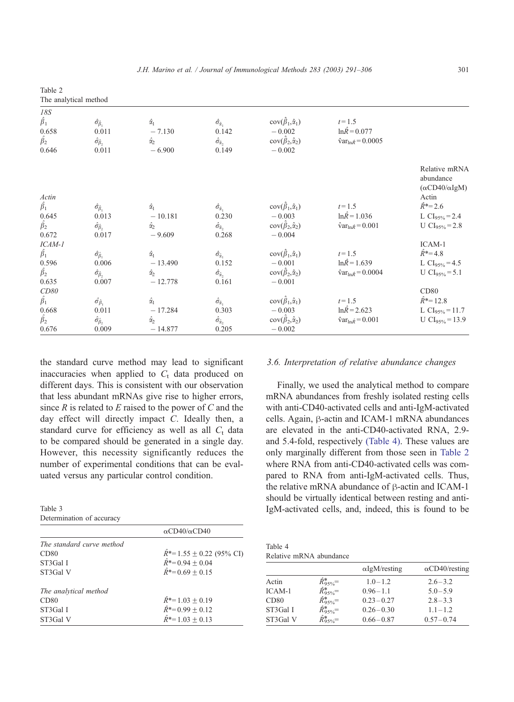<span id="page-10-0"></span>

| Table 2<br>The analytical method |                                  |                  |                                   |                                      |                                             |                                                          |
|----------------------------------|----------------------------------|------------------|-----------------------------------|--------------------------------------|---------------------------------------------|----------------------------------------------------------|
| 18S                              |                                  |                  |                                   |                                      |                                             |                                                          |
| $\hat{\beta}_1$                  | $\hat{\sigma}_{\hat{\beta}_1}$   | $\hat{\alpha}_1$ | $\hat{\sigma_{\hat{\alpha},}}$    | $cov(\hat{\beta}_1, \hat{\alpha}_1)$ | $t = 1.5$                                   |                                                          |
| 0.658                            | 0.011                            | $-7.130$         | 0.142                             | $-0.002$                             | $\ln \hat{R} = 0.077$                       |                                                          |
| $\hat{\beta_2}$                  | $\hat{\sigma}_{\hat{\beta}_2}$   | $\hat{\alpha}_2$ | $\hat{\sigma_{\hat{\alpha}_{2}}}$ | $cov(\hat{\beta}_2, \hat{\alpha}_2)$ | $\hat{\text{var}}_{\ln \hat{R}} = 0.0005$   |                                                          |
| 0.646                            | 0.011                            | $-6.900$         | 0.149                             | $-0.002$                             |                                             |                                                          |
|                                  |                                  |                  |                                   |                                      |                                             | Relative mRNA<br>abundance<br>$(\alpha CD40/\alpha IgM)$ |
| Actin                            |                                  |                  |                                   |                                      |                                             | Actin                                                    |
| $\hat{\beta_1}$                  | $\hat{\sigma_{\beta_1}}$         | $\hat{\alpha}_1$ | $\hat{\sigma}_{\hat{\alpha}_1}$   | $cov(\hat{\beta}_1, \hat{\alpha}_1)$ | $t = 1.5$                                   | $\hat{R}^* = 2.6$                                        |
| 0.645                            | 0.013                            | $-10.181$        | 0.230                             | $-0.003$                             | $\ln \hat{R} = 1.036$                       | L Cl <sub>95%</sub> = 2.4                                |
| $\hat{\beta_2}$                  | $\hat{\sigma_{\beta_2}}$         | $\hat{\alpha}_2$ | $\hat{\sigma}_{\hat{\alpha}},$    | $cov(\hat{\beta}_2, \hat{\alpha}_2)$ | $\hat{v}ar_{\ln \hat{R}} = 0.001$           | U $CI_{95\%} = 2.8$                                      |
| 0.672                            | 0.017                            | $-9.609$         | 0.268                             | $-0.004$                             |                                             |                                                          |
| ICAM-1                           |                                  |                  |                                   |                                      |                                             | ICAM-1                                                   |
| $\hat{\beta_1}$                  | $\hat{\sigma}_{\hat{\beta}_1}$   | $\hat{\alpha}_1$ | $\hat{\sigma_{\hat{\alpha},}}$    | $cov(\hat{\beta}_1, \hat{\alpha}_1)$ | $t = 1.5$                                   | $\hat{R}^* = 4.8$                                        |
| 0.596                            | 0.006                            | $-13.490$        | 0.152                             | $-0.001$                             | $\ln \hat{R} = 1.639$                       | L CI <sub>95%</sub> = 4.5                                |
| $\hat{\beta}_2$                  | $\hat{\sigma}_{\hat{\beta}_{2}}$ | $\hat{\alpha}_2$ | $\hat{\sigma_{\hat{\alpha}_{2}}}$ | $cov(\hat{\beta}_2, \hat{\alpha}_2)$ | $\hat{\mathrm{var}}_{\ln \hat{R}} = 0.0004$ | U $CI_{95\%} = 5.1$                                      |
| 0.635                            | 0.007                            | $-12.778$        | 0.161                             | $-0.001$                             |                                             |                                                          |
| CD80                             |                                  |                  |                                   |                                      |                                             | CD80                                                     |
| $\hat{\beta}_1$                  | $\hat{\sigma_{\beta_1}}$         | $\hat{\alpha}_1$ | $\hat{\sigma}_{\hat{\alpha}_{1}}$ | $cov(\hat{\beta}_1, \hat{\alpha}_1)$ | $t = 1.5$                                   | $\hat{R}^* = 12.8$                                       |
| 0.668                            | 0.011                            | $-17.284$        | 0.303                             | $-0.003$                             | $\ln \hat{R} = 2.623$                       | L CI <sub>95%</sub> = 11.7                               |
| $\hat{\beta_2}$                  | $\hat{\sigma}_{\hat{\beta}_{2}}$ | $\hat{\alpha}_2$ | $\hat{\sigma_{\hat{\alpha}_{2}}}$ | $cov(\hat{\beta}_2, \hat{\alpha}_2)$ | $\hat{v}ar_{\ln \hat{R}} = 0.001$           | U $CI_{95\%} = 13.9$                                     |
| 0.676                            | 0.009                            | $-14.877$        | 0.205                             | $-0.002$                             |                                             |                                                          |

the standard curve method may lead to significant inaccuracies when applied to  $C_t$  data produced on different days. This is consistent with our observation that less abundant mRNAs give rise to higher errors, since  $R$  is related to  $E$  raised to the power of  $C$  and the day effect will directly impact C. Ideally then, a standard curve for efficiency as well as all  $C_t$  data to be compared should be generated in a single day. However, this necessity significantly reduces the number of experimental conditions that can be evaluated versus any particular control condition.

Table 3 Determination of accuracy

|                           | $\alpha$ CD40/ $\alpha$ CD40           |
|---------------------------|----------------------------------------|
| The standard curve method |                                        |
| CD80                      | $\hat{R}^*$ = 1.55 $\pm$ 0.22 (95% CI) |
| ST3Gal I                  | $\hat{R}^*$ = 0.94 + 0.04              |
| ST3Gal V                  | $\hat{R}^* = 0.69 + 0.15$              |
| The analytical method     |                                        |
| CD80                      | $\hat{R}^*$ = 1.03 + 0.19              |
| ST3Gal I                  | $\hat{R}^* = 0.99 \pm 0.12$            |
| ST3Gal V                  | $\hat{R}^* = 1.03 + 0.13$              |

#### 3.6. Interpretation of relative abundance changes

Finally, we used the analytical method to compare mRNA abundances from freshly isolated resting cells with anti-CD40-activated cells and anti-IgM-activated cells. Again,  $\beta$ -actin and ICAM-1 mRNA abundances are elevated in the anti-CD40-activated RNA, 2.9 and 5.4-fold, respectively (Table 4). These values are only marginally different from those seen in Table 2 where RNA from anti-CD40-activated cells was compared to RNA from anti-IgM-activated cells. Thus, the relative mRNA abundance of  $\beta$ -actin and ICAM-1 should be virtually identical between resting and anti-IgM-activated cells, and, indeed, this is found to be

Table 4 Relative mRNA abundance

|          |                        | $\alpha$ IgM/resting | $\alpha$ CD40/resting |
|----------|------------------------|----------------------|-----------------------|
| Actin    | $\hat{R}_{95\%}^{*}$ = | $1.0 - 1.2$          | $2.6 - 3.2$           |
| ICAM-1   | $\hat{R}_{95\%}^{*}$ = | $0.96 - 1.1$         | $5.0 - 5.9$           |
| CD80     | $\hat{R}_{95\%}^{*}$ = | $0.23 - 0.27$        | $2.8 - 3.3$           |
| ST3Gal I | $\hat{R}_{95\%}^{*}$ = | $0.26 - 0.30$        | $1.1 - 1.2$           |
| ST3Gal V | $\hat{R}_{95\%}^* =$   | $0.66 - 0.87$        | $0.57 - 0.74$         |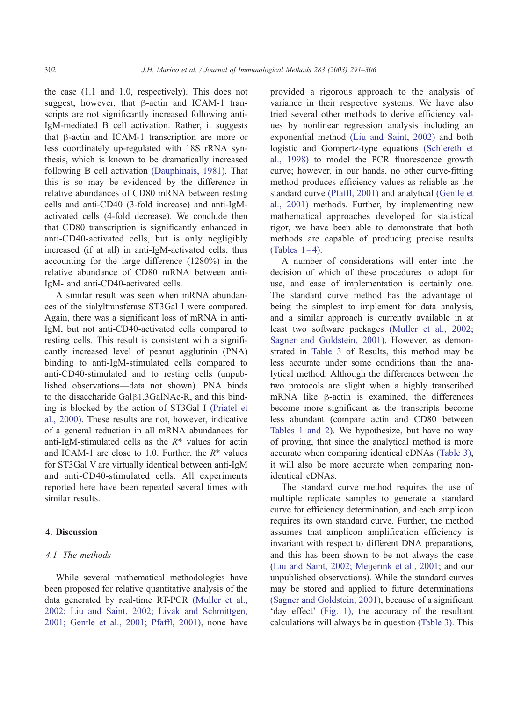the case (1.1 and 1.0, respectively). This does not suggest, however, that  $\beta$ -actin and ICAM-1 transcripts are not significantly increased following anti-IgM-mediated B cell activation. Rather, it suggests that  $\beta$ -actin and ICAM-1 transcription are more or less coordinately up-regulated with 18S rRNA synthesis, which is known to be dramatically increased following B cell activation [\(Dauphinais, 1981\).](#page-14-0) That this is so may be evidenced by the difference in relative abundances of CD80 mRNA between resting cells and anti-CD40 (3-fold increase) and anti-IgMactivated cells (4-fold decrease). We conclude then that CD80 transcription is significantly enhanced in anti-CD40-activated cells, but is only negligibly increased (if at all) in anti-IgM-activated cells, thus accounting for the large difference (1280%) in the relative abundance of CD80 mRNA between anti-IgM- and anti-CD40-activated cells.

A similar result was seen when mRNA abundances of the sialyltransferase ST3Gal I were compared. Again, there was a significant loss of mRNA in anti-IgM, but not anti-CD40-activated cells compared to resting cells. This result is consistent with a significantly increased level of peanut agglutinin (PNA) binding to anti-IgM-stimulated cells compared to anti-CD40-stimulated and to resting cells (unpublished observations—data not shown). PNA binds to the disaccharide Gal $\beta$ 1,3GalNAc-R, and this binding is blocked by the action of ST3Gal I [\(Priatel et](#page-14-0) al., 2000). These results are not, however, indicative of a general reduction in all mRNA abundances for anti-IgM-stimulated cells as the  $R^*$  values for actin and ICAM-1 are close to 1.0. Further, the  $R^*$  values for ST3Gal V are virtually identical between anti-IgM and anti-CD40-stimulated cells. All experiments reported here have been repeated several times with similar results.

#### 4. Discussion

#### 4.1. The methods

While several mathematical methodologies have been proposed for relative quantitative analysis of the data generated by real-time RT-PCR [\(Muller et al.,](#page-14-0) 2002; Liu and Saint, 2002; Livak and Schmittgen, 2001; Gentle et al., 2001; Pfaffl, 2001), none have provided a rigorous approach to the analysis of variance in their respective systems. We have also tried several other methods to derive efficiency values by nonlinear regression analysis including an exponential method [\(Liu and Saint, 2002\)](#page-14-0) and both logistic and Gompertz-type equations [\(Schlereth et](#page-14-0) al., 1998) to model the PCR fluorescence growth curve; however, in our hands, no other curve-fitting method produces efficiency values as reliable as the standard curve [\(Pfaffl, 2001\)](#page-14-0) and analytical [\(Gentle et](#page-14-0) al., 2001) methods. Further, by implementing new mathematical approaches developed for statistical rigor, we have been able to demonstrate that both methods are capable of producing precise results (Tables  $1-4$ ).

A number of considerations will enter into the decision of which of these procedures to adopt for use, and ease of implementation is certainly one. The standard curve method has the advantage of being the simplest to implement for data analysis, and a similar approach is currently available in at least two software packages [\(Muller et al., 2002;](#page-14-0) Sagner and Goldstein, 2001). However, as demonstrated in [Table 3](#page-10-0) of Results, this method may be less accurate under some conditions than the analytical method. Although the differences between the two protocols are slight when a highly transcribed  $mRNA$  like  $\beta$ -actin is examined, the differences become more significant as the transcripts become less abundant (compare actin and CD80 between [Tables 1 and 2\)](#page-9-0). We hypothesize, but have no way of proving, that since the analytical method is more accurate when comparing identical cDNAs [\(Table 3\),](#page-10-0) it will also be more accurate when comparing nonidentical cDNAs.

The standard curve method requires the use of multiple replicate samples to generate a standard curve for efficiency determination, and each amplicon requires its own standard curve. Further, the method assumes that amplicon amplification efficiency is invariant with respect to different DNA preparations, and this has been shown to be not always the case ([Liu and Saint, 2002; Meijerink et al., 2001;](#page-14-0) and our unpublished observations). While the standard curves may be stored and applied to future determinations [\(Sagner and Goldstein, 2001\),](#page-14-0) because of a significant 'day effect' [\(Fig. 1\),](#page-4-0) the accuracy of the resultant calculations will always be in question [\(Table 3\).](#page-10-0) This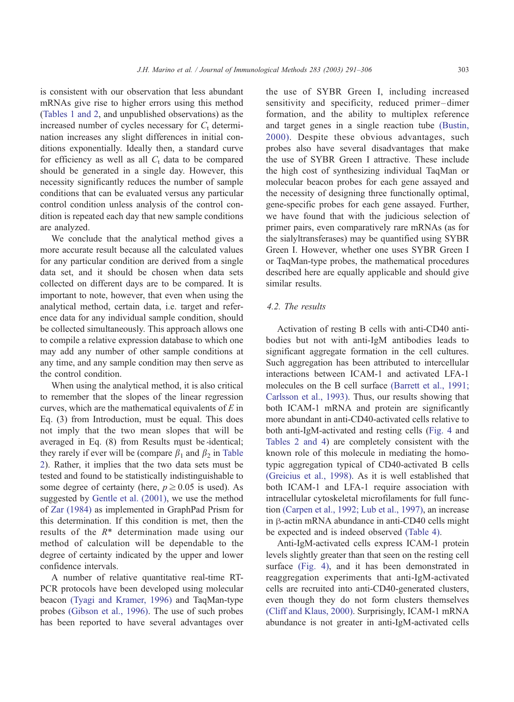is consistent with our observation that less abundant mRNAs give rise to higher errors using this method ([Tables 1 and 2,](#page-9-0) and unpublished observations) as the increased number of cycles necessary for  $C_t$  determination increases any slight differences in initial conditions exponentially. Ideally then, a standard curve for efficiency as well as all  $C_t$  data to be compared should be generated in a single day. However, this necessity significantly reduces the number of sample conditions that can be evaluated versus any particular control condition unless analysis of the control condition is repeated each day that new sample conditions are analyzed.

We conclude that the analytical method gives a more accurate result because all the calculated values for any particular condition are derived from a single data set, and it should be chosen when data sets collected on different days are to be compared. It is important to note, however, that even when using the analytical method, certain data, i.e. target and reference data for any individual sample condition, should be collected simultaneously. This approach allows one to compile a relative expression database to which one may add any number of other sample conditions at any time, and any sample condition may then serve as the control condition.

When using the analytical method, it is also critical to remember that the slopes of the linear regression curves, which are the mathematical equivalents of  $E$  in Eq. (3) from Introduction, must be equal. This does not imply that the two mean slopes that will be averaged in Eq. (8) from Results must be identical; they rarely if ever will be (compare  $\beta_1$  and  $\beta_2$  in [Table](#page-10-0) 2). Rather, it implies that the two data sets must be tested and found to be statistically indistinguishable to some degree of certainty (here,  $p \ge 0.05$  is used). As suggested by [Gentle et al. \(2001\),](#page-14-0) we use the method of [Zar \(1984\)](#page-15-0) as implemented in GraphPad Prism for this determination. If this condition is met, then the results of the R\* determination made using our method of calculation will be dependable to the degree of certainty indicated by the upper and lower confidence intervals.

A number of relative quantitative real-time RT-PCR protocols have been developed using molecular beacon [\(Tyagi and Kramer, 1996\)](#page-15-0) and TaqMan-type probes [\(Gibson et al., 1996\).](#page-14-0) The use of such probes has been reported to have several advantages over the use of SYBR Green I, including increased sensitivity and specificity, reduced primer – dimer formation, and the ability to multiplex reference and target genes in a single reaction tube [\(Bustin,](#page-14-0) 2000). Despite these obvious advantages, such probes also have several disadvantages that make the use of SYBR Green I attractive. These include the high cost of synthesizing individual TaqMan or molecular beacon probes for each gene assayed and the necessity of designing three functionally optimal, gene-specific probes for each gene assayed. Further, we have found that with the judicious selection of primer pairs, even comparatively rare mRNAs (as for the sialyltransferases) may be quantified using SYBR Green I. However, whether one uses SYBR Green I or TaqMan-type probes, the mathematical procedures described here are equally applicable and should give similar results.

# 4.2. The results

Activation of resting B cells with anti-CD40 antibodies but not with anti-IgM antibodies leads to significant aggregate formation in the cell cultures. Such aggregation has been attributed to intercellular interactions between ICAM-1 and activated LFA-1 molecules on the B cell surface [\(Barrett et al., 1991;](#page-14-0) Carlsson et al., 1993). Thus, our results showing that both ICAM-1 mRNA and protein are significantly more abundant in anti-CD40-activated cells relative to both anti-IgM-activated and resting cells ([Fig. 4](#page-9-0) and [Tables 2 and 4\)](#page-10-0) are completely consistent with the known role of this molecule in mediating the homotypic aggregation typical of CD40-activated B cells [\(Greicius et al., 1998\).](#page-14-0) As it is well established that both ICAM-1 and LFA-1 require association with intracellular cytoskeletal microfilaments for full function [\(Carpen et al., 1992; Lub et al., 1997\),](#page-14-0) an increase in  $\beta$ -actin mRNA abundance in anti-CD40 cells might be expected and is indeed observed [\(Table 4\).](#page-10-0)

Anti-IgM-activated cells express ICAM-1 protein levels slightly greater than that seen on the resting cell surface [\(Fig. 4\),](#page-9-0) and it has been demonstrated in reaggregation experiments that anti-IgM-activated cells are recruited into anti-CD40-generated clusters, even though they do not form clusters themselves [\(Cliff and Klaus, 2000\).](#page-14-0) Surprisingly, ICAM-1 mRNA abundance is not greater in anti-IgM-activated cells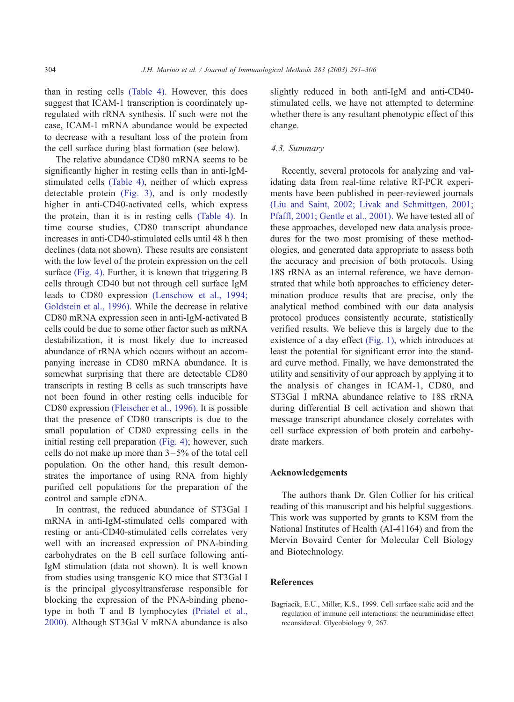<span id="page-13-0"></span>than in resting cells [\(Table 4\).](#page-10-0) However, this does suggest that ICAM-1 transcription is coordinately upregulated with rRNA synthesis. If such were not the case, ICAM-1 mRNA abundance would be expected to decrease with a resultant loss of the protein from the cell surface during blast formation (see below).

The relative abundance CD80 mRNA seems to be significantly higher in resting cells than in anti-IgMstimulated cells [\(Table 4\),](#page-10-0) neither of which express detectable protein [\(Fig. 3\),](#page-7-0) and is only modestly higher in anti-CD40-activated cells, which express the protein, than it is in resting cells [\(Table 4\).](#page-10-0) In time course studies, CD80 transcript abundance increases in anti-CD40-stimulated cells until 48 h then declines (data not shown). These results are consistent with the low level of the protein expression on the cell surface [\(Fig. 4\).](#page-9-0) Further, it is known that triggering B cells through CD40 but not through cell surface IgM leads to CD80 expression [\(Lenschow et al., 1994;](#page-14-0) Goldstein et al., 1996). While the decrease in relative CD80 mRNA expression seen in anti-IgM-activated B cells could be due to some other factor such as mRNA destabilization, it is most likely due to increased abundance of rRNA which occurs without an accompanying increase in CD80 mRNA abundance. It is somewhat surprising that there are detectable CD80 transcripts in resting B cells as such transcripts have not been found in other resting cells inducible for CD80 expression [\(Fleischer et al., 1996\).](#page-14-0) It is possible that the presence of CD80 transcripts is due to the small population of CD80 expressing cells in the initial resting cell preparation [\(Fig. 4\);](#page-9-0) however, such cells do not make up more than  $3-5%$  of the total cell population. On the other hand, this result demonstrates the importance of using RNA from highly purified cell populations for the preparation of the control and sample cDNA.

In contrast, the reduced abundance of ST3Gal I mRNA in anti-IgM-stimulated cells compared with resting or anti-CD40-stimulated cells correlates very well with an increased expression of PNA-binding carbohydrates on the B cell surface following anti-IgM stimulation (data not shown). It is well known from studies using transgenic KO mice that ST3Gal I is the principal glycosyltransferase responsible for blocking the expression of the PNA-binding phenotype in both T and B lymphocytes [\(Priatel et al.,](#page-14-0) 2000). Although ST3Gal V mRNA abundance is also slightly reduced in both anti-IgM and anti-CD40 stimulated cells, we have not attempted to determine whether there is any resultant phenotypic effect of this change.

# 4.3. Summary

Recently, several protocols for analyzing and validating data from real-time relative RT-PCR experiments have been published in peer-reviewed journals [\(Liu and Saint, 2002; Livak and Schmittgen, 2001;](#page-14-0) Pfaffl, 2001; Gentle et al., 2001). We have tested all of these approaches, developed new data analysis procedures for the two most promising of these methodologies, and generated data appropriate to assess both the accuracy and precision of both protocols. Using 18S rRNA as an internal reference, we have demonstrated that while both approaches to efficiency determination produce results that are precise, only the analytical method combined with our data analysis protocol produces consistently accurate, statistically verified results. We believe this is largely due to the existence of a day effect [\(Fig. 1\),](#page-4-0) which introduces at least the potential for significant error into the standard curve method. Finally, we have demonstrated the utility and sensitivity of our approach by applying it to the analysis of changes in ICAM-1, CD80, and ST3Gal I mRNA abundance relative to 18S rRNA during differential B cell activation and shown that message transcript abundance closely correlates with cell surface expression of both protein and carbohydrate markers.

# Acknowledgements

The authors thank Dr. Glen Collier for his critical reading of this manuscript and his helpful suggestions. This work was supported by grants to KSM from the National Institutes of Health (AI-41164) and from the Mervin Bovaird Center for Molecular Cell Biology and Biotechnology.

#### References

Bagriacik, E.U., Miller, K.S., 1999. Cell surface sialic acid and the regulation of immune cell interactions: the neuraminidase effect reconsidered. Glycobiology 9, 267.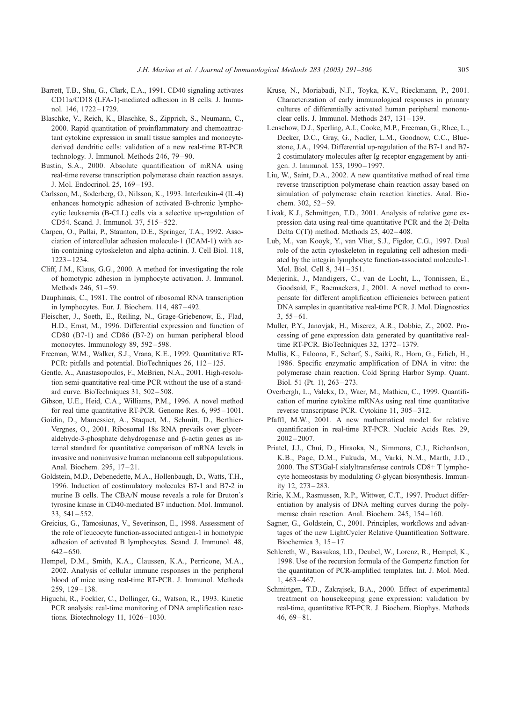- <span id="page-14-0"></span>Barrett, T.B., Shu, G., Clark, E.A., 1991. CD40 signaling activates CD11a/CD18 (LFA-1)-mediated adhesion in B cells. J. Immunol. 146, 1722 – 1729.
- Blaschke, V., Reich, K., Blaschke, S., Zipprich, S., Neumann, C., 2000. Rapid quantitation of proinflammatory and chemoattractant cytokine expression in small tissue samples and monocytederived dendritic cells: validation of a new real-time RT-PCR technology. J. Immunol. Methods 246, 79 – 90.
- Bustin, S.A., 2000. Absolute quantification of mRNA using real-time reverse transcription polymerase chain reaction assays. J. Mol. Endocrinol. 25, 169 – 193.
- Carlsson, M., Soderberg, O., Nilsson, K., 1993. Interleukin-4 (IL-4) enhances homotypic adhesion of activated B-chronic lymphocytic leukaemia (B-CLL) cells via a selective up-regulation of CD54. Scand. J. Immunol. 37, 515 – 522.
- Carpen, O., Pallai, P., Staunton, D.E., Springer, T.A., 1992. Association of intercellular adhesion molecule-1 (ICAM-1) with actin-containing cytoskeleton and alpha-actinin. J. Cell Biol. 118,  $1223 - 1234$
- Cliff, J.M., Klaus, G.G., 2000. A method for investigating the role of homotypic adhesion in lymphocyte activation. J. Immunol. Methods 246, 51-59.
- Dauphinais, C., 1981. The control of ribosomal RNA transcription in lymphocytes. Eur. J. Biochem. 114, 487 – 492.
- Fleischer, J., Soeth, E., Reiling, N., Grage-Griebenow, E., Flad, H.D., Ernst, M., 1996. Differential expression and function of CD80 (B7-1) and CD86 (B7-2) on human peripheral blood monocytes. Immunology 89, 592-598.
- Freeman, W.M., Walker, S.J., Vrana, K.E., 1999. Quantitative RT-PCR: pitfalls and potential. BioTechniques 26, 112 – 125.
- Gentle, A., Anastasopoulos, F., McBrien, N.A., 2001. High-resolution semi-quantitative real-time PCR without the use of a standard curve. BioTechniques 31, 502 – 508.
- Gibson, U.E., Heid, C.A., Williams, P.M., 1996. A novel method for real time quantitative RT-PCR. Genome Res. 6, 995 – 1001.
- Goidin, D., Mamessier, A., Staquet, M., Schmitt, D., Berthier-Vergnes, O., 2001. Ribosomal 18s RNA prevails over glyceraldehyde-3-phosphate dehydrogenase and  $\beta$ -actin genes as internal standard for quantitative comparison of mRNA levels in invasive and noninvasive human melanoma cell subpopulations. Anal. Biochem. 295, 17-21.
- Goldstein, M.D., Debenedette, M.A., Hollenbaugh, D., Watts, T.H., 1996. Induction of costimulatory molecules B7-1 and B7-2 in murine B cells. The CBA/N mouse reveals a role for Bruton's tyrosine kinase in CD40-mediated B7 induction. Mol. Immunol.  $33, 541 - 552.$
- Greicius, G., Tamosiunas, V., Severinson, E., 1998. Assessment of the role of leucocyte function-associated antigen-1 in homotypic adhesion of activated B lymphocytes. Scand. J. Immunol. 48,  $642 - 650.$
- Hempel, D.M., Smith, K.A., Claussen, K.A., Perricone, M.A., 2002. Analysis of cellular immune responses in the peripheral blood of mice using real-time RT-PCR. J. Immunol. Methods 259, 129 – 138.
- Higuchi, R., Fockler, C., Dollinger, G., Watson, R., 1993. Kinetic PCR analysis: real-time monitoring of DNA amplification reactions. Biotechnology 11, 1026 – 1030.
- Kruse, N., Moriabadi, N.F., Toyka, K.V., Rieckmann, P., 2001. Characterization of early immunological responses in primary cultures of differentially activated human peripheral mononuclear cells. J. Immunol. Methods 247, 131 – 139.
- Lenschow, D.J., Sperling, A.I., Cooke, M.P., Freeman, G., Rhee, L., Decker, D.C., Gray, G., Nadler, L.M., Goodnow, C.C., Bluestone, J.A., 1994. Differential up-regulation of the B7-1 and B7- 2 costimulatory molecules after Ig receptor engagement by antigen. J. Immunol. 153, 1990 – 1997.
- Liu, W., Saint, D.A., 2002. A new quantitative method of real time reverse transcription polymerase chain reaction assay based on simulation of polymerase chain reaction kinetics. Anal. Biochem. 302, 52-59.
- Livak, K.J., Schmittgen, T.D., 2001. Analysis of relative gene expression data using real-time quantitative PCR and the 2(-Delta Delta C(T)) method. Methods 25, 402 – 408.
- Lub, M., van Kooyk, Y., van Vliet, S.J., Figdor, C.G., 1997. Dual role of the actin cytoskeleton in regulating cell adhesion mediated by the integrin lymphocyte function-associated molecule-1. Mol. Biol. Cell 8, 341 – 351.
- Meijerink, J., Mandigers, C., van de Locht, L., Tonnissen, E., Goodsaid, F., Raemaekers, J., 2001. A novel method to compensate for different amplification efficiencies between patient DNA samples in quantitative real-time PCR. J. Mol. Diagnostics  $3, 55 - 61.$
- Muller, P.Y., Janovjak, H., Miserez, A.R., Dobbie, Z., 2002. Processing of gene expression data generated by quantitative realtime RT-PCR. BioTechniques 32, 1372 – 1379.
- Mullis, K., Faloona, F., Scharf, S., Saiki, R., Horn, G., Erlich, H., 1986. Specific enzymatic amplification of DNA in vitro: the polymerase chain reaction. Cold Spring Harbor Symp. Quant. Biol. 51 (Pt. 1), 263 – 273.
- Overbergh, L., Valckx, D., Waer, M., Mathieu, C., 1999. Quantification of murine cytokine mRNAs using real time quantitative reverse transcriptase PCR. Cytokine 11, 305 – 312.
- Pfaffl, M.W., 2001. A new mathematical model for relative quantification in real-time RT-PCR. Nucleic Acids Res. 29, 2002 – 2007.
- Priatel, J.J., Chui, D., Hiraoka, N., Simmons, C.J., Richardson, K.B., Page, D.M., Fukuda, M., Varki, N.M., Marth, J.D., 2000. The ST3Gal-I sialyltransferase controls CD8+ T lymphocyte homeostasis by modulating O-glycan biosynthesis. Immunity 12, 273 – 283.
- Ririe, K.M., Rasmussen, R.P., Wittwer, C.T., 1997. Product differentiation by analysis of DNA melting curves during the polymerase chain reaction. Anal. Biochem. 245, 154 – 160.
- Sagner, G., Goldstein, C., 2001. Principles, workflows and advantages of the new LightCycler Relative Quantification Software. Biochemica 3, 15 – 17.
- Schlereth, W., Bassukas, I.D., Deubel, W., Lorenz, R., Hempel, K., 1998. Use of the recursion formula of the Gompertz function for the quantitation of PCR-amplified templates. Int. J. Mol. Med. 1, 463 – 467.
- Schmittgen, T.D., Zakrajsek, B.A., 2000. Effect of experimental treatment on housekeeping gene expression: validation by real-time, quantitative RT-PCR. J. Biochem. Biophys. Methods  $46, 69 - 81.$